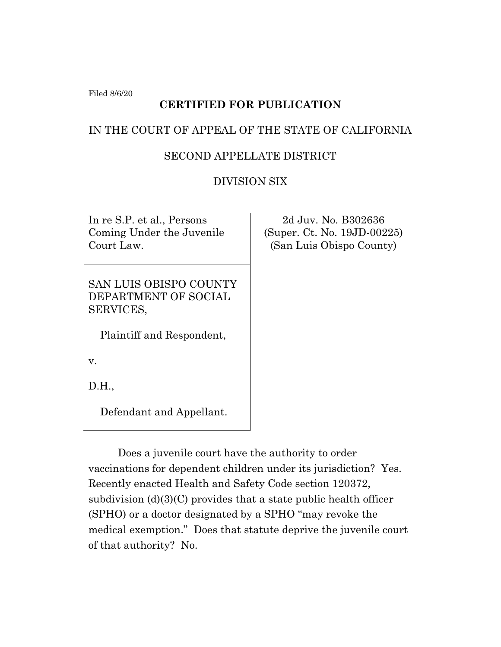Filed 8/6/20

# **CERTIFIED FOR PUBLICATION**

# IN THE COURT OF APPEAL OF THE STATE OF CALIFORNIA

# SECOND APPELLATE DISTRICT

# DIVISION SIX

In re S.P. et al., Persons Coming Under the Juvenile Court Law.

SAN LUIS OBISPO COUNTY DEPARTMENT OF SOCIAL SERVICES,

Plaintiff and Respondent,

v.

D.H.,

Defendant and Appellant.

2d Juv. No. B302636 (Super. Ct. No. 19JD-00225) (San Luis Obispo County)

Does a juvenile court have the authority to order vaccinations for dependent children under its jurisdiction? Yes. Recently enacted Health and Safety Code section 120372, subdivision (d)(3)(C) provides that a state public health officer (SPHO) or a doctor designated by a SPHO "may revoke the medical exemption." Does that statute deprive the juvenile court of that authority? No.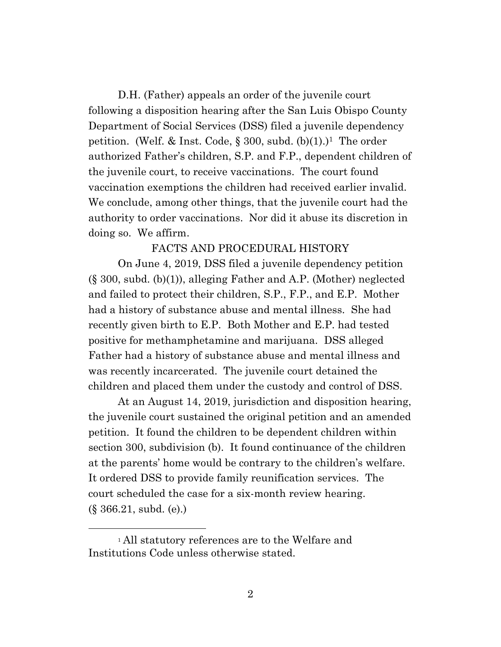D.H. (Father) appeals an order of the juvenile court following a disposition hearing after the San Luis Obispo County Department of Social Services (DSS) filed a juvenile dependency petition. (Welf. & Inst. Code,  $\S 300$ , subd. (b)(1).)<sup>1</sup> The order authorized Father's children, S.P. and F.P., dependent children of the juvenile court, to receive vaccinations. The court found vaccination exemptions the children had received earlier invalid. We conclude, among other things, that the juvenile court had the authority to order vaccinations. Nor did it abuse its discretion in doing so. We affirm.

### FACTS AND PROCEDURAL HISTORY

On June 4, 2019, DSS filed a juvenile dependency petition (§ 300, subd. (b)(1)), alleging Father and A.P. (Mother) neglected and failed to protect their children, S.P., F.P., and E.P. Mother had a history of substance abuse and mental illness. She had recently given birth to E.P. Both Mother and E.P. had tested positive for methamphetamine and marijuana. DSS alleged Father had a history of substance abuse and mental illness and was recently incarcerated. The juvenile court detained the children and placed them under the custody and control of DSS.

At an August 14, 2019, jurisdiction and disposition hearing, the juvenile court sustained the original petition and an amended petition. It found the children to be dependent children within section 300, subdivision (b). It found continuance of the children at the parents' home would be contrary to the children's welfare. It ordered DSS to provide family reunification services. The court scheduled the case for a six-month review hearing. (§ 366.21, subd. (e).)

<sup>1</sup> All statutory references are to the Welfare and Institutions Code unless otherwise stated.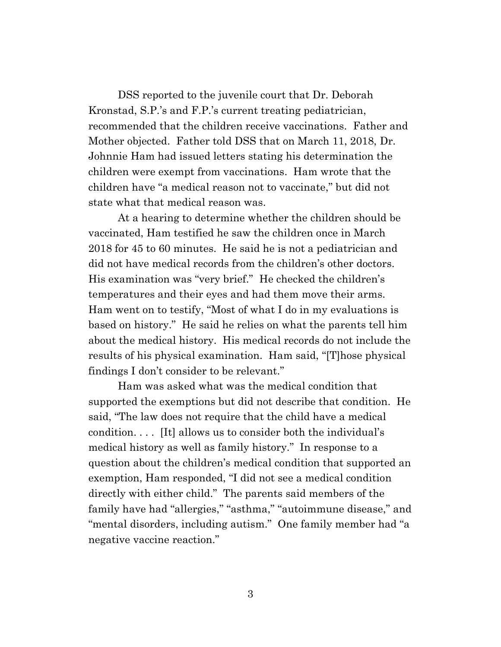DSS reported to the juvenile court that Dr. Deborah Kronstad, S.P.'s and F.P.'s current treating pediatrician, recommended that the children receive vaccinations. Father and Mother objected. Father told DSS that on March 11, 2018, Dr. Johnnie Ham had issued letters stating his determination the children were exempt from vaccinations. Ham wrote that the children have "a medical reason not to vaccinate," but did not state what that medical reason was.

At a hearing to determine whether the children should be vaccinated, Ham testified he saw the children once in March 2018 for 45 to 60 minutes. He said he is not a pediatrician and did not have medical records from the children's other doctors. His examination was "very brief." He checked the children's temperatures and their eyes and had them move their arms. Ham went on to testify, "Most of what I do in my evaluations is based on history." He said he relies on what the parents tell him about the medical history. His medical records do not include the results of his physical examination. Ham said, "[T]hose physical findings I don't consider to be relevant."

Ham was asked what was the medical condition that supported the exemptions but did not describe that condition. He said, "The law does not require that the child have a medical condition. . . . [It] allows us to consider both the individual's medical history as well as family history." In response to a question about the children's medical condition that supported an exemption, Ham responded, "I did not see a medical condition directly with either child." The parents said members of the family have had "allergies," "asthma," "autoimmune disease," and "mental disorders, including autism." One family member had "a negative vaccine reaction."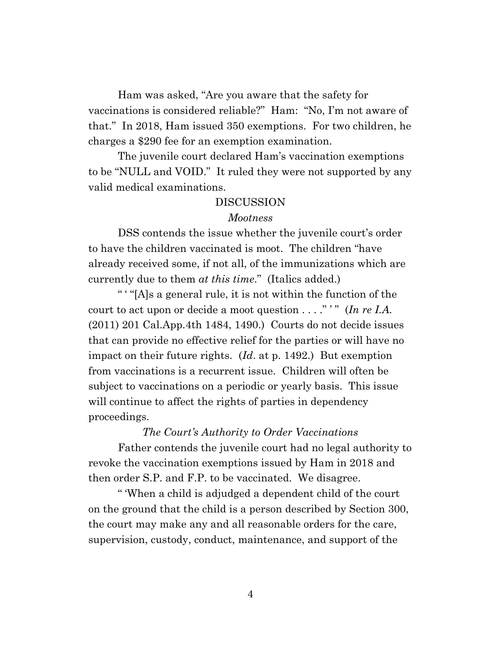Ham was asked, "Are you aware that the safety for vaccinations is considered reliable?" Ham: "No, I'm not aware of that." In 2018, Ham issued 350 exemptions. For two children, he charges a \$290 fee for an exemption examination.

The juvenile court declared Ham's vaccination exemptions to be "NULL and VOID." It ruled they were not supported by any valid medical examinations.

### DISCUSSION

#### *Mootness*

DSS contends the issue whether the juvenile court's order to have the children vaccinated is moot. The children "have already received some, if not all, of the immunizations which are currently due to them *at this time*." (Italics added.)

" ' "[A]s a general rule, it is not within the function of the court to act upon or decide a moot question  $\dots$ ." " (*In re I.A.*) (2011) 201 Cal.App.4th 1484, 1490.) Courts do not decide issues that can provide no effective relief for the parties or will have no impact on their future rights. (*Id*. at p. 1492.) But exemption from vaccinations is a recurrent issue. Children will often be subject to vaccinations on a periodic or yearly basis. This issue will continue to affect the rights of parties in dependency proceedings.

#### *The Court's Authority to Order Vaccinations*

Father contends the juvenile court had no legal authority to revoke the vaccination exemptions issued by Ham in 2018 and then order S.P. and F.P. to be vaccinated. We disagree.

" 'When a child is adjudged a dependent child of the court on the ground that the child is a person described by Section 300, the court may make any and all reasonable orders for the care, supervision, custody, conduct, maintenance, and support of the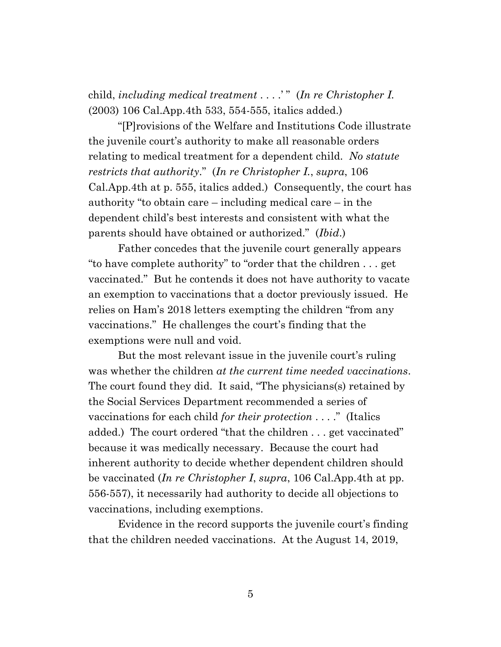child, *including medical treatment* . . . .' " (*In re Christopher I.* (2003) 106 Cal.App.4th 533, 554-555, italics added.)

"[P]rovisions of the Welfare and Institutions Code illustrate the juvenile court's authority to make all reasonable orders relating to medical treatment for a dependent child. *No statute restricts that authority*." (*In re Christopher I.*, *supra*, 106 Cal.App.4th at p. 555, italics added.) Consequently, the court has authority "to obtain care – including medical care – in the dependent child's best interests and consistent with what the parents should have obtained or authorized." (*Ibid*.)

Father concedes that the juvenile court generally appears "to have complete authority" to "order that the children . . . get vaccinated." But he contends it does not have authority to vacate an exemption to vaccinations that a doctor previously issued. He relies on Ham's 2018 letters exempting the children "from any vaccinations." He challenges the court's finding that the exemptions were null and void.

But the most relevant issue in the juvenile court's ruling was whether the children *at the current time needed vaccinations*. The court found they did. It said, "The physicians(s) retained by the Social Services Department recommended a series of vaccinations for each child *for their protection* . . . ." (Italics added.) The court ordered "that the children . . . get vaccinated" because it was medically necessary. Because the court had inherent authority to decide whether dependent children should be vaccinated (*In re Christopher I*, *supra*, 106 Cal.App.4th at pp. 556-557), it necessarily had authority to decide all objections to vaccinations, including exemptions.

Evidence in the record supports the juvenile court's finding that the children needed vaccinations. At the August 14, 2019,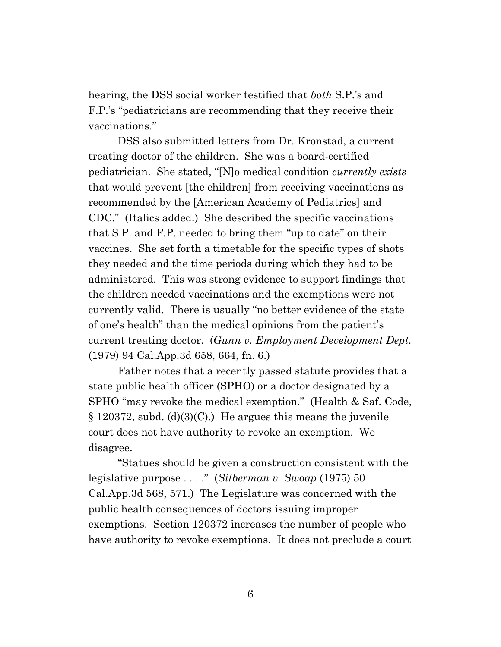hearing, the DSS social worker testified that *both* S.P.'s and F.P.'s "pediatricians are recommending that they receive their vaccinations."

DSS also submitted letters from Dr. Kronstad, a current treating doctor of the children. She was a board-certified pediatrician. She stated, "[N]o medical condition *currently exists* that would prevent [the children] from receiving vaccinations as recommended by the [American Academy of Pediatrics] and CDC." (Italics added.) She described the specific vaccinations that S.P. and F.P. needed to bring them "up to date" on their vaccines. She set forth a timetable for the specific types of shots they needed and the time periods during which they had to be administered. This was strong evidence to support findings that the children needed vaccinations and the exemptions were not currently valid. There is usually "no better evidence of the state of one's health" than the medical opinions from the patient's current treating doctor. (*Gunn v. Employment Development Dept.* (1979) 94 Cal.App.3d 658, 664, fn. 6.)

Father notes that a recently passed statute provides that a state public health officer (SPHO) or a doctor designated by a SPHO "may revoke the medical exemption." (Health & Saf. Code,  $\S 120372$ , subd. (d)(3)(C).) He argues this means the juvenile court does not have authority to revoke an exemption. We disagree.

"Statues should be given a construction consistent with the legislative purpose . . . ." (*Silberman v. Swoap* (1975) 50 Cal.App.3d 568, 571.) The Legislature was concerned with the public health consequences of doctors issuing improper exemptions. Section 120372 increases the number of people who have authority to revoke exemptions. It does not preclude a court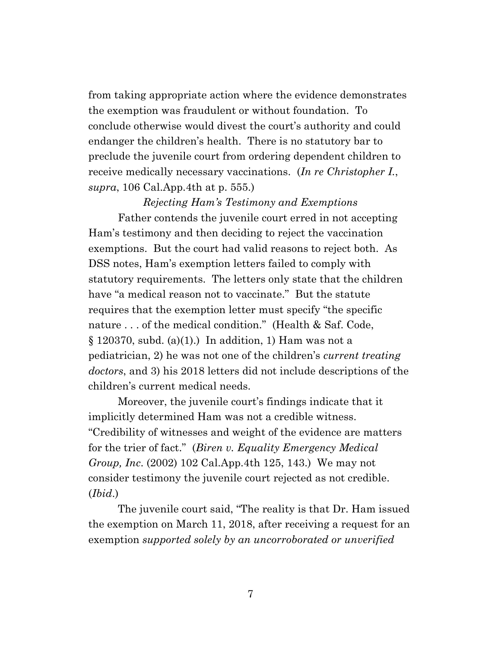from taking appropriate action where the evidence demonstrates the exemption was fraudulent or without foundation. To conclude otherwise would divest the court's authority and could endanger the children's health. There is no statutory bar to preclude the juvenile court from ordering dependent children to receive medically necessary vaccinations. (*In re Christopher I.*, *supra*, 106 Cal.App.4th at p. 555.)

#### *Rejecting Ham's Testimony and Exemptions*

Father contends the juvenile court erred in not accepting Ham's testimony and then deciding to reject the vaccination exemptions. But the court had valid reasons to reject both. As DSS notes, Ham's exemption letters failed to comply with statutory requirements. The letters only state that the children have "a medical reason not to vaccinate." But the statute requires that the exemption letter must specify "the specific nature ... of the medical condition." (Health & Saf. Code,  $\S 120370$ , subd. (a)(1).) In addition, 1) Ham was not a pediatrician, 2) he was not one of the children's *current treating doctors*, and 3) his 2018 letters did not include descriptions of the children's current medical needs.

Moreover, the juvenile court's findings indicate that it implicitly determined Ham was not a credible witness. "Credibility of witnesses and weight of the evidence are matters for the trier of fact." (*Biren v. Equality Emergency Medical Group, Inc*. (2002) 102 Cal.App.4th 125, 143.) We may not consider testimony the juvenile court rejected as not credible. (*Ibid*.)

The juvenile court said, "The reality is that Dr. Ham issued the exemption on March 11, 2018, after receiving a request for an exemption *supported solely by an uncorroborated or unverified*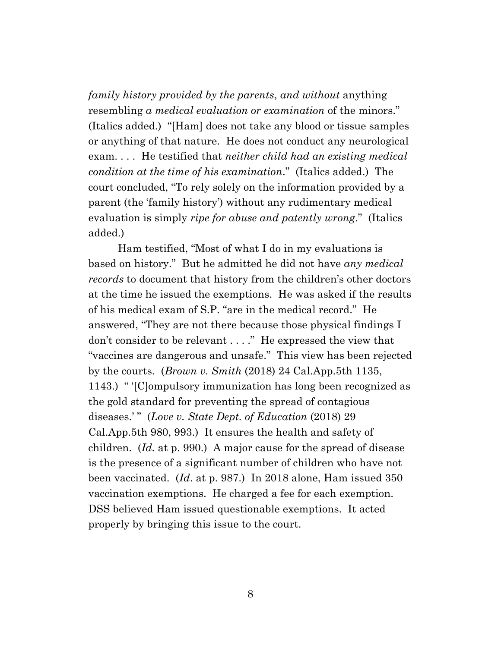*family history provided by the parents*, *and without* anything resembling *a medical evaluation or examination* of the minors." (Italics added.) "[Ham] does not take any blood or tissue samples or anything of that nature. He does not conduct any neurological exam. . . . He testified that *neither child had an existing medical condition at the time of his examination*." (Italics added.) The court concluded, "To rely solely on the information provided by a parent (the 'family history') without any rudimentary medical evaluation is simply *ripe for abuse and patently wrong*." (Italics added.)

Ham testified, "Most of what I do in my evaluations is based on history." But he admitted he did not have *any medical records* to document that history from the children's other doctors at the time he issued the exemptions. He was asked if the results of his medical exam of S.P. "are in the medical record." He answered, "They are not there because those physical findings I don't consider to be relevant . . . ." He expressed the view that "vaccines are dangerous and unsafe." This view has been rejected by the courts. (*Brown v. Smith* (2018) 24 Cal.App.5th 1135, 1143.) " '[C]ompulsory immunization has long been recognized as the gold standard for preventing the spread of contagious diseases.' " (*Love v. State Dept. of Education* (2018) 29 Cal.App.5th 980, 993.) It ensures the health and safety of children. (*Id.* at p. 990.) A major cause for the spread of disease is the presence of a significant number of children who have not been vaccinated. (*Id*. at p. 987.) In 2018 alone, Ham issued 350 vaccination exemptions. He charged a fee for each exemption. DSS believed Ham issued questionable exemptions. It acted properly by bringing this issue to the court.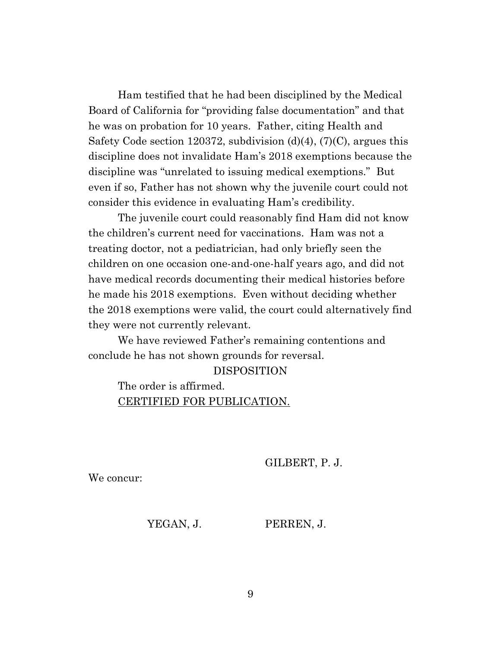Ham testified that he had been disciplined by the Medical Board of California for "providing false documentation" and that he was on probation for 10 years. Father, citing Health and Safety Code section 120372, subdivision  $(d)(4)$ ,  $(7)(C)$ , argues this discipline does not invalidate Ham's 2018 exemptions because the discipline was "unrelated to issuing medical exemptions." But even if so, Father has not shown why the juvenile court could not consider this evidence in evaluating Ham's credibility.

The juvenile court could reasonably find Ham did not know the children's current need for vaccinations. Ham was not a treating doctor, not a pediatrician, had only briefly seen the children on one occasion one-and-one-half years ago, and did not have medical records documenting their medical histories before he made his 2018 exemptions. Even without deciding whether the 2018 exemptions were valid, the court could alternatively find they were not currently relevant.

We have reviewed Father's remaining contentions and conclude he has not shown grounds for reversal.

### DISPOSITION

# The order is affirmed. CERTIFIED FOR PUBLICATION.

GILBERT, P. J.

We concur:

YEGAN, J. PERREN, J.